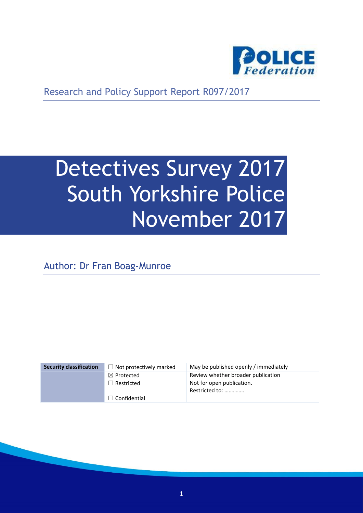

Research and Policy Support Report R097/2017

# Detectives Survey 2017 South Yorkshire Police November 2017

Author: Dr Fran Boag-Munroe

| <b>Security classification</b> | $\Box$ Not protectively marked | May be published openly / immediately       |
|--------------------------------|--------------------------------|---------------------------------------------|
|                                | $\boxtimes$ Protected          | Review whether broader publication          |
|                                | $\Box$ Restricted              | Not for open publication.<br>Restricted to: |
|                                | $\Box$ Confidential            |                                             |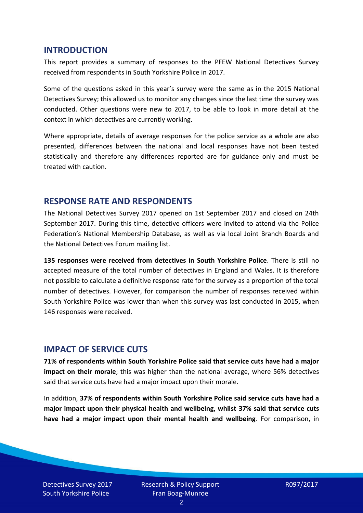#### **INTRODUCTION**

This report provides a summary of responses to the PFEW National Detectives Survey received from respondents in South Yorkshire Police in 2017.

Some of the questions asked in this year's survey were the same as in the 2015 National Detectives Survey; this allowed us to monitor any changes since the last time the survey was conducted. Other questions were new to 2017, to be able to look in more detail at the context in which detectives are currently working.

Where appropriate, details of average responses for the police service as a whole are also presented, differences between the national and local responses have not been tested statistically and therefore any differences reported are for guidance only and must be treated with caution.

#### **RESPONSE RATE AND RESPONDENTS**

The National Detectives Survey 2017 opened on 1st September 2017 and closed on 24th September 2017. During this time, detective officers were invited to attend via the Police Federation's National Membership Database, as well as via local Joint Branch Boards and the National Detectives Forum mailing list.

**135 responses were received from detectives in South Yorkshire Police**. There is still no accepted measure of the total number of detectives in England and Wales. It is therefore not possible to calculate a definitive response rate for the survey as a proportion of the total number of detectives. However, for comparison the number of responses received within South Yorkshire Police was lower than when this survey was last conducted in 2015, when 146 responses were received.

#### **IMPACT OF SERVICE CUTS**

**71% of respondents within South Yorkshire Police said that service cuts have had a major impact on their morale**; this was higher than the national average, where 56% detectives said that service cuts have had a major impact upon their morale.

In addition, **37% of respondents within South Yorkshire Police said service cuts have had a major impact upon their physical health and wellbeing, whilst 37% said that service cuts have had a major impact upon their mental health and wellbeing**. For comparison, in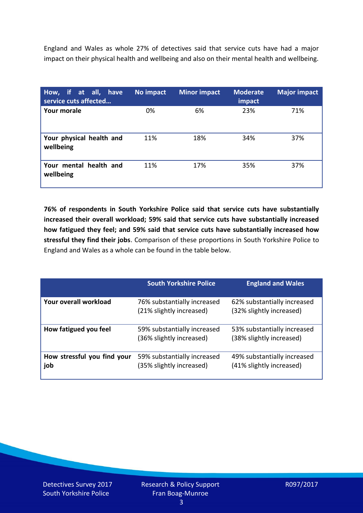England and Wales as whole 27% of detectives said that service cuts have had a major impact on their physical health and wellbeing and also on their mental health and wellbeing.

| How, if at all, have<br>service cuts affected | No impact | <b>Minor impact</b> | <b>Moderate</b><br>impact | <b>Major impact</b> |
|-----------------------------------------------|-----------|---------------------|---------------------------|---------------------|
| <b>Your morale</b>                            | 0%        | 6%                  | 23%                       | 71%                 |
| Your physical health and<br>wellbeing         | 11%       | 18%                 | 34%                       | 37%                 |
| Your mental health and<br>wellbeing           | 11%       | 17%                 | 35%                       | 37%                 |

**76% of respondents in South Yorkshire Police said that service cuts have substantially increased their overall workload; 59% said that service cuts have substantially increased how fatigued they feel; and 59% said that service cuts have substantially increased how stressful they find their jobs**. Comparison of these proportions in South Yorkshire Police to England and Wales as a whole can be found in the table below.

|                                    | <b>South Yorkshire Police</b>                           | <b>England and Wales</b>                                |
|------------------------------------|---------------------------------------------------------|---------------------------------------------------------|
| Your overall workload              | 76% substantially increased<br>(21% slightly increased) | 62% substantially increased<br>(32% slightly increased) |
| How fatigued you feel              | 59% substantially increased<br>(36% slightly increased) | 53% substantially increased<br>(38% slightly increased) |
| How stressful you find your<br>job | 59% substantially increased<br>(35% slightly increased) | 49% substantially increased<br>(41% slightly increased) |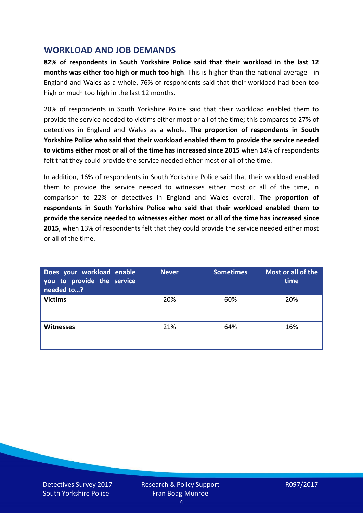## **WORKLOAD AND JOB DEMANDS**

**82% of respondents in South Yorkshire Police said that their workload in the last 12 months was either too high or much too high**. This is higher than the national average - in England and Wales as a whole, 76% of respondents said that their workload had been too high or much too high in the last 12 months.

20% of respondents in South Yorkshire Police said that their workload enabled them to provide the service needed to victims either most or all of the time; this compares to 27% of detectives in England and Wales as a whole. **The proportion of respondents in South Yorkshire Police who said that their workload enabled them to provide the service needed to victims either most or all of the time has increased since 2015** when 14% of respondents felt that they could provide the service needed either most or all of the time.

In addition, 16% of respondents in South Yorkshire Police said that their workload enabled them to provide the service needed to witnesses either most or all of the time, in comparison to 22% of detectives in England and Wales overall. **The proportion of respondents in South Yorkshire Police who said that their workload enabled them to provide the service needed to witnesses either most or all of the time has increased since 2015**, when 13% of respondents felt that they could provide the service needed either most or all of the time.

| Does your workload enable<br>you to provide the service<br>needed to? | <b>Never</b> | <b>Sometimes</b> | Most or all of the<br>time |
|-----------------------------------------------------------------------|--------------|------------------|----------------------------|
| <b>Victims</b>                                                        | 20%          | 60%              | 20%                        |
| <b>Witnesses</b>                                                      | 21%          | 64%              | 16%                        |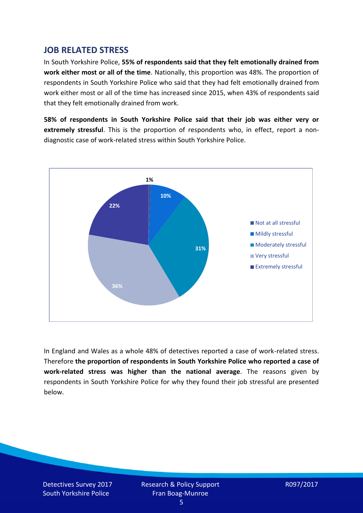## **JOB RELATED STRESS**

In South Yorkshire Police, **55% of respondents said that they felt emotionally drained from work either most or all of the time**. Nationally, this proportion was 48%. The proportion of respondents in South Yorkshire Police who said that they had felt emotionally drained from work either most or all of the time has increased since 2015, when 43% of respondents said that they felt emotionally drained from work.

**58% of respondents in South Yorkshire Police said that their job was either very or extremely stressful**. This is the proportion of respondents who, in effect, report a nondiagnostic case of work-related stress within South Yorkshire Police.



In England and Wales as a whole 48% of detectives reported a case of work-related stress. Therefore **the proportion of respondents in South Yorkshire Police who reported a case of work-related stress was higher than the national average**. The reasons given by respondents in South Yorkshire Police for why they found their job stressful are presented below.

Detectives Survey 2017 South Yorkshire Police

Research & Policy Support Fran Boag-Munroe

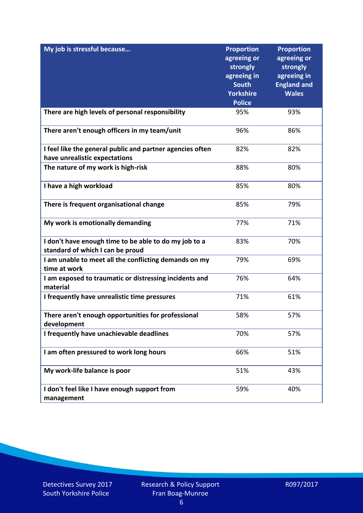| My job is stressful because                                                                | <b>Proportion</b><br>agreeing or<br>strongly<br>agreeing in<br><b>South</b><br><b>Yorkshire</b><br><b>Police</b> | <b>Proportion</b><br>agreeing or<br>strongly<br>agreeing in<br><b>England and</b><br><b>Wales</b> |
|--------------------------------------------------------------------------------------------|------------------------------------------------------------------------------------------------------------------|---------------------------------------------------------------------------------------------------|
| There are high levels of personal responsibility                                           | 95%                                                                                                              | 93%                                                                                               |
| There aren't enough officers in my team/unit                                               | 96%                                                                                                              | 86%                                                                                               |
| I feel like the general public and partner agencies often<br>have unrealistic expectations | 82%                                                                                                              | 82%                                                                                               |
| The nature of my work is high-risk                                                         | 88%                                                                                                              | 80%                                                                                               |
| I have a high workload                                                                     | 85%                                                                                                              | 80%                                                                                               |
| There is frequent organisational change                                                    | 85%                                                                                                              | 79%                                                                                               |
| My work is emotionally demanding                                                           | 77%                                                                                                              | 71%                                                                                               |
| I don't have enough time to be able to do my job to a<br>standard of which I can be proud  | 83%                                                                                                              | 70%                                                                                               |
| I am unable to meet all the conflicting demands on my<br>time at work                      | 79%                                                                                                              | 69%                                                                                               |
| I am exposed to traumatic or distressing incidents and<br>material                         | 76%                                                                                                              | 64%                                                                                               |
| I frequently have unrealistic time pressures                                               | 71%                                                                                                              | 61%                                                                                               |
| There aren't enough opportunities for professional<br>development                          | 58%                                                                                                              | 57%                                                                                               |
| I frequently have unachievable deadlines                                                   | 70%                                                                                                              | 57%                                                                                               |
| I am often pressured to work long hours                                                    | 66%                                                                                                              | 51%                                                                                               |
| My work-life balance is poor                                                               | 51%                                                                                                              | 43%                                                                                               |
| I don't feel like I have enough support from<br>management                                 | 59%                                                                                                              | 40%                                                                                               |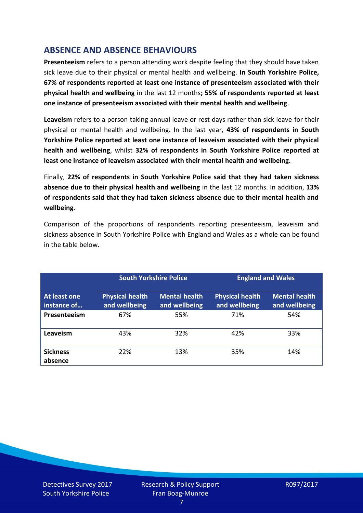# **ABSENCE AND ABSENCE BEHAVIOURS**

**Presenteeism** refers to a person attending work despite feeling that they should have taken sick leave due to their physical or mental health and wellbeing. **In South Yorkshire Police, 67% of respondents reported at least one instance of presenteeism associated with their physical health and wellbeing** in the last 12 months**; 55% of respondents reported at least one instance of presenteeism associated with their mental health and wellbeing**.

**Leaveism** refers to a person taking annual leave or rest days rather than sick leave for their physical or mental health and wellbeing. In the last year, **43% of respondents in South Yorkshire Police reported at least one instance of leaveism associated with their physical health and wellbeing**, whilst **32% of respondents in South Yorkshire Police reported at least one instance of leaveism associated with their mental health and wellbeing.**

Finally, **22% of respondents in South Yorkshire Police said that they had taken sickness absence due to their physical health and wellbeing** in the last 12 months. In addition, **13% of respondents said that they had taken sickness absence due to their mental health and wellbeing**.

Comparison of the proportions of respondents reporting presenteeism, leaveism and sickness absence in South Yorkshire Police with England and Wales as a whole can be found in the table below.

|                             |                                         | <b>South Yorkshire Police</b>         |                                         | <b>England and Wales</b>              |
|-----------------------------|-----------------------------------------|---------------------------------------|-----------------------------------------|---------------------------------------|
| At least one<br>instance of | <b>Physical health</b><br>and wellbeing | <b>Mental health</b><br>and wellbeing | <b>Physical health</b><br>and wellbeing | <b>Mental health</b><br>and wellbeing |
| Presenteeism                | 67%                                     | 55%                                   | 71%                                     | 54%                                   |
| Leaveism                    | 43%                                     | 32%                                   | 42%                                     | 33%                                   |
| <b>Sickness</b><br>absence  | 22%                                     | 13%                                   | 35%                                     | 14%                                   |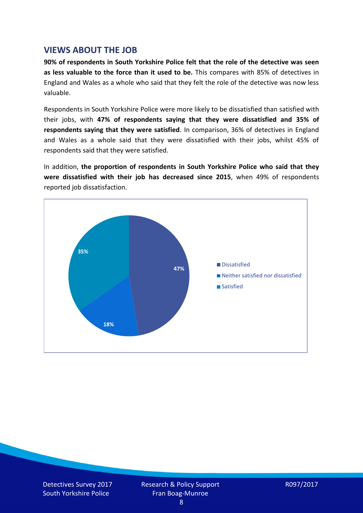### **VIEWS ABOUT THE JOB**

**90% of respondents in South Yorkshire Police felt that the role of the detective was seen as less valuable to the force than it used to be.** This compares with 85% of detectives in England and Wales as a whole who said that they felt the role of the detective was now less valuable.

Respondents in South Yorkshire Police were more likely to be dissatisfied than satisfied with their jobs, with **47% of respondents saying that they were dissatisfied and 35% of respondents saying that they were satisfied**. In comparison, 36% of detectives in England and Wales as a whole said that they were dissatisfied with their jobs, whilst 45% of respondents said that they were satisfied.

In addition, **the proportion of respondents in South Yorkshire Police who said that they were dissatisfied with their job has decreased since 2015**, when 49% of respondents reported job dissatisfaction.

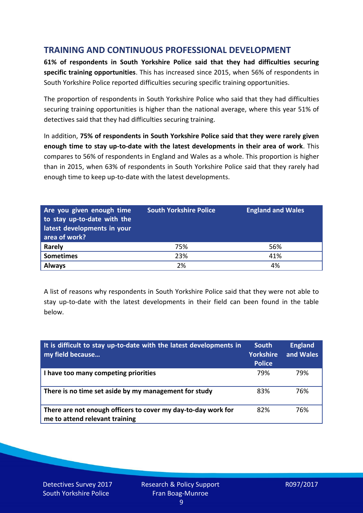# **TRAINING AND CONTINUOUS PROFESSIONAL DEVELOPMENT**

**61% of respondents in South Yorkshire Police said that they had difficulties securing specific training opportunities**. This has increased since 2015, when 56% of respondents in South Yorkshire Police reported difficulties securing specific training opportunities.

The proportion of respondents in South Yorkshire Police who said that they had difficulties securing training opportunities is higher than the national average, where this year 51% of detectives said that they had difficulties securing training.

In addition, **75% of respondents in South Yorkshire Police said that they were rarely given enough time to stay up-to-date with the latest developments in their area of work**. This compares to 56% of respondents in England and Wales as a whole. This proportion is higher than in 2015, when 63% of respondents in South Yorkshire Police said that they rarely had enough time to keep up-to-date with the latest developments.

| Are you given enough time<br>to stay up-to-date with the<br>latest developments in your<br>area of work? | <b>South Yorkshire Police</b> | <b>England and Wales</b> |
|----------------------------------------------------------------------------------------------------------|-------------------------------|--------------------------|
| <b>Rarely</b>                                                                                            | 75%                           | 56%                      |
| <b>Sometimes</b>                                                                                         | 23%                           | 41%                      |
| <b>Always</b>                                                                                            | 2%                            | 4%                       |

A list of reasons why respondents in South Yorkshire Police said that they were not able to stay up-to-date with the latest developments in their field can been found in the table below.

| It is difficult to stay up-to-date with the latest developments in<br>my field because          | <b>South</b><br><b>Yorkshire</b><br><b>Police</b> | <b>England</b><br>and Wales |
|-------------------------------------------------------------------------------------------------|---------------------------------------------------|-----------------------------|
| I have too many competing priorities                                                            | 79%                                               | 79%                         |
| There is no time set aside by my management for study                                           | 83%                                               | 76%                         |
| There are not enough officers to cover my day-to-day work for<br>me to attend relevant training | 82%                                               | 76%                         |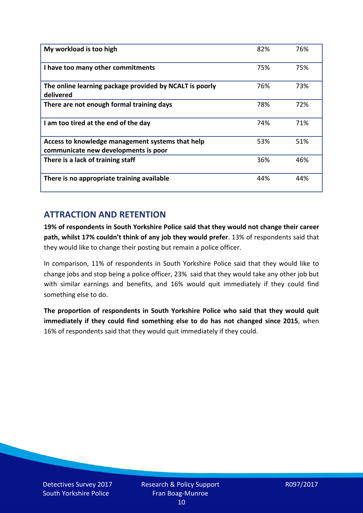| My workload is too high                                                                  | 82% | 76% |
|------------------------------------------------------------------------------------------|-----|-----|
| I have too many other commitments                                                        | 75% | 75% |
| The online learning package provided by NCALT is poorly<br>delivered                     | 76% | 73% |
| There are not enough formal training days                                                | 78% | 72% |
| I am too tired at the end of the day                                                     | 74% | 71% |
| Access to knowledge management systems that help<br>communicate new developments is poor | 53% | 51% |
| There is a lack of training staff                                                        | 36% | 46% |
| There is no appropriate training available                                               | 44% | 44% |

# **ATTRACTION AND RETENTION**

**19% of respondents in South Yorkshire Police said that they would not change their career path, whilst 17% couldn't think of any job they would prefer**. 13% of respondents said that they would like to change their posting but remain a police officer.

In comparison, 11% of respondents in South Yorkshire Police said that they would like to change jobs and stop being a police officer, 23% said that they would take any other job but with similar earnings and benefits, and 16% would quit immediately if they could find something else to do.

**The proportion of respondents in South Yorkshire Police who said that they would quit immediately if they could find something else to do has not changed since 2015**, when 16% of respondents said that they would quit immediately if they could.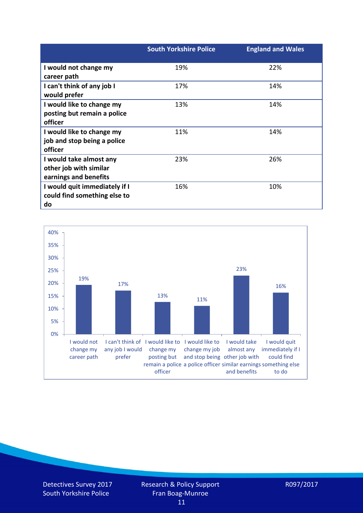|                               | <b>South Yorkshire Police</b> | <b>England and Wales</b> |
|-------------------------------|-------------------------------|--------------------------|
| I would not change my         | 19%                           | 22%                      |
| career path                   |                               |                          |
| I can't think of any job I    | 17%                           | 14%                      |
| would prefer                  |                               |                          |
| I would like to change my     | 13%                           | 14%                      |
| posting but remain a police   |                               |                          |
| officer                       |                               |                          |
| I would like to change my     | 11%                           | 14%                      |
| job and stop being a police   |                               |                          |
| officer                       |                               |                          |
| I would take almost any       | 23%                           | 26%                      |
| other job with similar        |                               |                          |
| earnings and benefits         |                               |                          |
| I would quit immediately if I | 16%                           | 10%                      |
| could find something else to  |                               |                          |
| do                            |                               |                          |